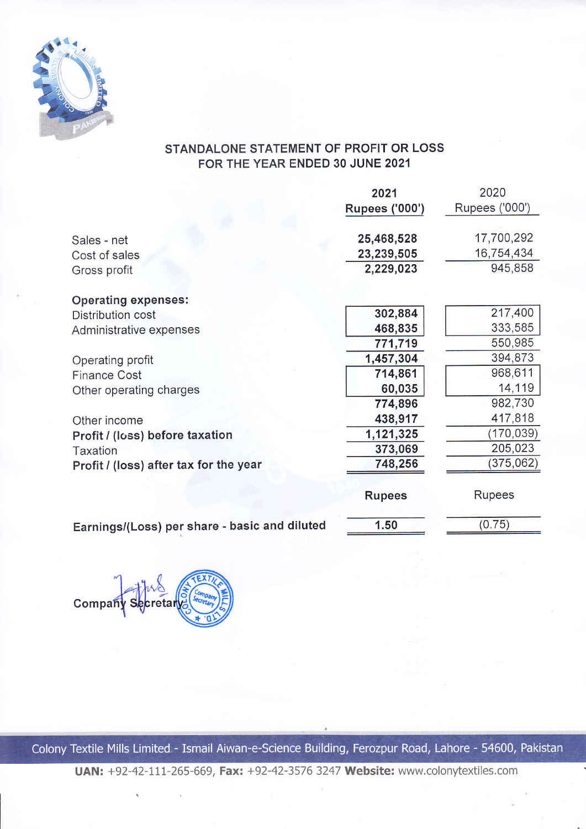

## STANDALONE STATEMENT OF PROFIT OR LOSS FOR THE YEAR ENDED 30 JUNE 2021

|                                               | 2021                  | 2020           |
|-----------------------------------------------|-----------------------|----------------|
|                                               | <b>Rupees ('000')</b> | Rupees ('000') |
| Sales - net                                   | 25,468,528            | 17,700,292     |
| Cost of sales                                 | 23,239,505            | 16,754,434     |
| Gross profit                                  | 2,229,023             | 945,858        |
| <b>Operating expenses:</b>                    |                       |                |
| Distribution cost                             | 302,884               | 217,400        |
| Administrative expenses                       | 468,835               | 333,585        |
|                                               | 771,719               | 550,985        |
| Operating profit                              | 1,457,304             | 394,873        |
| <b>Finance Cost</b>                           | 714,861               | 968,611        |
| Other operating charges                       | 60,035                | 14,119         |
|                                               | 774,896               | 982,730        |
| Other income                                  | 438,917               | 417,818        |
| Profit / (loss) before taxation               | 1,121,325             | (170, 039)     |
| Taxation                                      | 373,069               | 205,023        |
| Profit / (loss) after tax for the year        | 748,256               | (375,062)      |
|                                               | <b>Rupees</b>         | <b>Rupees</b>  |
| Earnings/(Loss) per share - basic and diluted | 1.50                  | (0.75)         |

Company Secretar

Colony Textile Mills Limited - Ismail Aiwan-e-Science Building, Ferozpur Road, Lahore - 54600, Pakistan

UAN: +92-42-117-265-669, Faxt +92-42-3576 3247 Website: www.colonytextiles.com